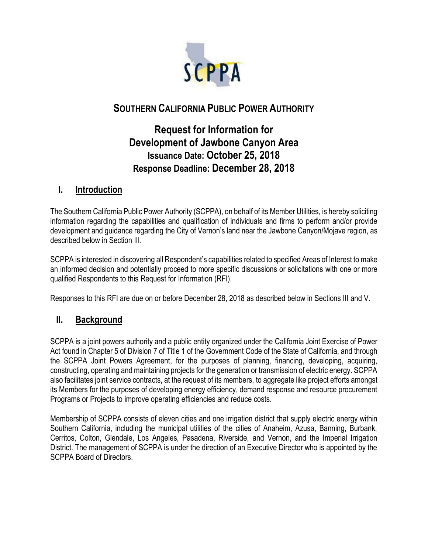

# **SOUTHERN CALIFORNIA PUBLIC POWER AUTHORITY**

# **Request for Information for Development of Jawbone Canyon Area Issuance Date: October 25, 2018 Response Deadline: December 28, 2018**

# **I. Introduction**

The Southern California Public Power Authority (SCPPA), on behalf of its Member Utilities, is hereby soliciting information regarding the capabilities and qualification of individuals and firms to perform and/or provide development and guidance regarding the City of Vernon's land near the Jawbone Canyon/Mojave region, as described below in Section III.

SCPPA is interested in discovering all Respondent's capabilities related to specified Areas of Interest to make an informed decision and potentially proceed to more specific discussions or solicitations with one or more qualified Respondents to this Request for Information (RFI).

Responses to this RFI are due on or before December 28, 2018 as described below in Sections III and V.

# **II. Background**

SCPPA is a joint powers authority and a public entity organized under the California Joint Exercise of Power Act found in Chapter 5 of Division 7 of Title 1 of the Government Code of the State of California, and through the SCPPA Joint Powers Agreement, for the purposes of planning, financing, developing, acquiring, constructing, operating and maintaining projects for the generation or transmission of electric energy. SCPPA also facilitates joint service contracts, at the request of its members, to aggregate like project efforts amongst its Members for the purposes of developing energy efficiency, demand response and resource procurement Programs or Projects to improve operating efficiencies and reduce costs.

Membership of SCPPA consists of eleven cities and one irrigation district that supply electric energy within Southern California, including the municipal utilities of the cities of Anaheim, Azusa, Banning, Burbank, Cerritos, Colton, Glendale, Los Angeles, Pasadena, Riverside, and Vernon, and the Imperial Irrigation District. The management of SCPPA is under the direction of an Executive Director who is appointed by the SCPPA Board of Directors.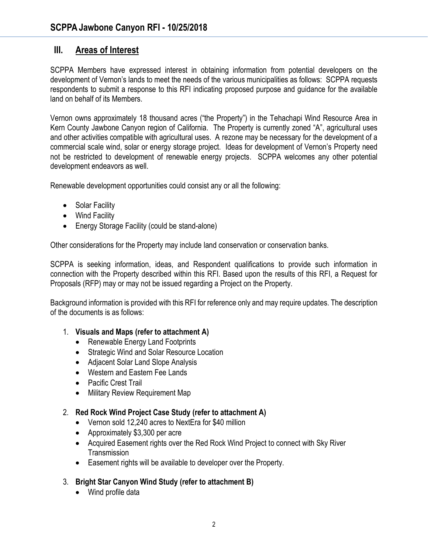### **III. Areas of Interest**

SCPPA Members have expressed interest in obtaining information from potential developers on the development of Vernon's lands to meet the needs of the various municipalities as follows: SCPPA requests respondents to submit a response to this RFI indicating proposed purpose and guidance for the available land on behalf of its Members.

Vernon owns approximately 18 thousand acres ("the Property") in the Tehachapi Wind Resource Area in Kern County Jawbone Canyon region of California. The Property is currently zoned "A", agricultural uses and other activities compatible with agricultural uses. A rezone may be necessary for the development of a commercial scale wind, solar or energy storage project. Ideas for development of Vernon's Property need not be restricted to development of renewable energy projects. SCPPA welcomes any other potential development endeavors as well.

Renewable development opportunities could consist any or all the following:

- Solar Facility
- Wind Facility
- Energy Storage Facility (could be stand-alone)

Other considerations for the Property may include land conservation or conservation banks.

SCPPA is seeking information, ideas, and Respondent qualifications to provide such information in connection with the Property described within this RFI. Based upon the results of this RFI, a Request for Proposals (RFP) may or may not be issued regarding a Project on the Property.

Background information is provided with this RFI for reference only and may require updates. The description of the documents is as follows:

- 1. **Visuals and Maps (refer to attachment A)**
	- Renewable Energy Land Footprints
	- Strategic Wind and Solar Resource Location
	- Adjacent Solar Land Slope Analysis
	- Western and Eastern Fee Lands
	- Pacific Crest Trail
	- Military Review Requirement Map

#### 2. **Red Rock Wind Project Case Study (refer to attachment A)**

- Vernon sold 12,240 acres to NextEra for \$40 million
- Approximately \$3,300 per acre
- Acquired Easement rights over the Red Rock Wind Project to connect with Sky River **Transmission**
- Easement rights will be available to developer over the Property.
- 3. **Bright Star Canyon Wind Study (refer to attachment B)** 
	- Wind profile data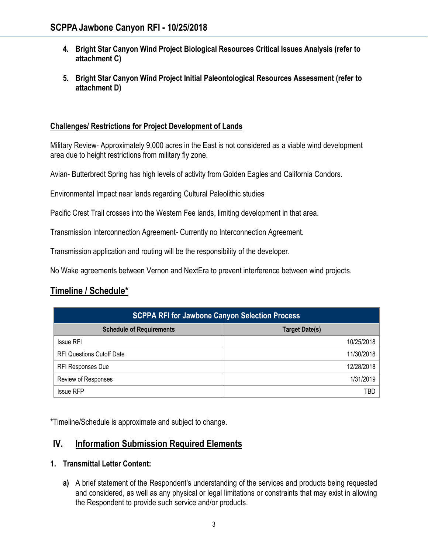- **4. Bright Star Canyon Wind Project Biological Resources Critical Issues Analysis (refer to attachment C)**
- **5. Bright Star Canyon Wind Project Initial Paleontological Resources Assessment (refer to attachment D)**

### **Challenges/ Restrictions for Project Development of Lands**

Military Review- Approximately 9,000 acres in the East is not considered as a viable wind development area due to height restrictions from military fly zone.

Avian- Butterbredt Spring has high levels of activity from Golden Eagles and California Condors.

Environmental Impact near lands regarding Cultural Paleolithic studies

Pacific Crest Trail crosses into the Western Fee lands, limiting development in that area.

Transmission Interconnection Agreement- Currently no Interconnection Agreement.

Transmission application and routing will be the responsibility of the developer.

No Wake agreements between Vernon and NextEra to prevent interference between wind projects.

# **Timeline / Schedule\***

| <b>SCPPA RFI for Jawbone Canyon Selection Process</b> |                       |
|-------------------------------------------------------|-----------------------|
| <b>Schedule of Requirements</b>                       | <b>Target Date(s)</b> |
| <b>Issue RFI</b>                                      | 10/25/2018            |
| <b>RFI Questions Cutoff Date</b>                      | 11/30/2018            |
| <b>RFI Responses Due</b>                              | 12/28/2018            |
| Review of Responses                                   | 1/31/2019             |
| <b>Issue RFP</b>                                      | TBD                   |

\*Timeline/Schedule is approximate and subject to change.

# **IV. Information Submission Required Elements**

#### **1. Transmittal Letter Content:**

**a)** A brief statement of the Respondent's understanding of the services and products being requested and considered, as well as any physical or legal limitations or constraints that may exist in allowing the Respondent to provide such service and/or products.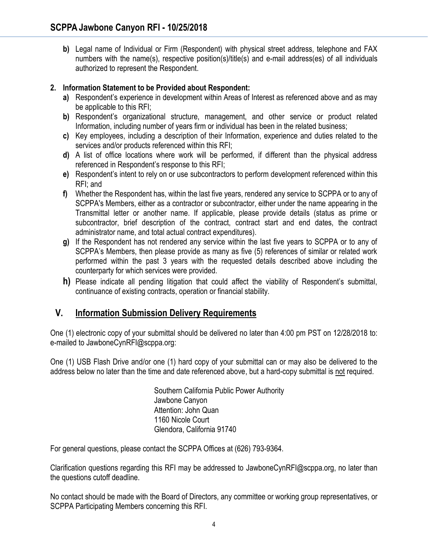**b)** Legal name of Individual or Firm (Respondent) with physical street address, telephone and FAX numbers with the name(s), respective position(s)/title(s) and e-mail address(es) of all individuals authorized to represent the Respondent.

### **2. Information Statement to be Provided about Respondent:**

- **a)** Respondent's experience in development within Areas of Interest as referenced above and as may be applicable to this RFI;
- **b)** Respondent's organizational structure, management, and other service or product related Information, including number of years firm or individual has been in the related business;
- **c)** Key employees, including a description of their Information, experience and duties related to the services and/or products referenced within this RFI;
- **d)** A list of office locations where work will be performed, if different than the physical address referenced in Respondent's response to this RFI;
- **e)** Respondent's intent to rely on or use subcontractors to perform development referenced within this RFI; and
- **f)** Whether the Respondent has, within the last five years, rendered any service to SCPPA or to any of SCPPA's Members, either as a contractor or subcontractor, either under the name appearing in the Transmittal letter or another name. If applicable, please provide details (status as prime or subcontractor, brief description of the contract, contract start and end dates, the contract administrator name, and total actual contract expenditures).
- **g)** If the Respondent has not rendered any service within the last five years to SCPPA or to any of SCPPA's Members, then please provide as many as five (5) references of similar or related work performed within the past 3 years with the requested details described above including the counterparty for which services were provided.
- **h)** Please indicate all pending litigation that could affect the viability of Respondent's submittal, continuance of existing contracts, operation or financial stability.

# **V. Information Submission Delivery Requirements**

One (1) electronic copy of your submittal should be delivered no later than 4:00 pm PST on 12/28/2018 to: e-mailed to JawboneCynRFI@scppa.org:

One (1) USB Flash Drive and/or one (1) hard copy of your submittal can or may also be delivered to the address below no later than the time and date referenced above, but a hard-copy submittal is not required.

> Southern California Public Power Authority Jawbone Canyon Attention: John Quan 1160 Nicole Court Glendora, California 91740

For general questions, please contact the SCPPA Offices at (626) 793-9364.

Clarification questions regarding this RFI may be addressed to JawboneCynRFI@scppa.org, no later than the questions cutoff deadline.

No contact should be made with the Board of Directors, any committee or working group representatives, or SCPPA Participating Members concerning this RFI.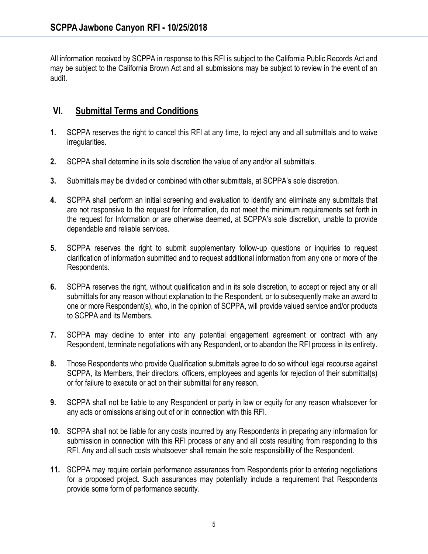All information received by SCPPA in response to this RFI is subject to the California Public Records Act and may be subject to the California Brown Act and all submissions may be subject to review in the event of an audit.

# **VI. Submittal Terms and Conditions**

- **1.** SCPPA reserves the right to cancel this RFI at any time, to reject any and all submittals and to waive irregularities.
- **2.** SCPPA shall determine in its sole discretion the value of any and/or all submittals.
- **3.** Submittals may be divided or combined with other submittals, at SCPPA's sole discretion.
- **4.** SCPPA shall perform an initial screening and evaluation to identify and eliminate any submittals that are not responsive to the request for Information, do not meet the minimum requirements set forth in the request for Information or are otherwise deemed, at SCPPA's sole discretion, unable to provide dependable and reliable services.
- **5.** SCPPA reserves the right to submit supplementary follow-up questions or inquiries to request clarification of information submitted and to request additional information from any one or more of the Respondents.
- **6.** SCPPA reserves the right, without qualification and in its sole discretion, to accept or reject any or all submittals for any reason without explanation to the Respondent, or to subsequently make an award to one or more Respondent(s), who, in the opinion of SCPPA, will provide valued service and/or products to SCPPA and its Members.
- **7.** SCPPA may decline to enter into any potential engagement agreement or contract with any Respondent, terminate negotiations with any Respondent, or to abandon the RFI process in its entirety.
- **8.** Those Respondents who provide Qualification submittals agree to do so without legal recourse against SCPPA, its Members, their directors, officers, employees and agents for rejection of their submittal(s) or for failure to execute or act on their submittal for any reason.
- **9.** SCPPA shall not be liable to any Respondent or party in law or equity for any reason whatsoever for any acts or omissions arising out of or in connection with this RFI.
- **10.** SCPPA shall not be liable for any costs incurred by any Respondents in preparing any information for submission in connection with this RFI process or any and all costs resulting from responding to this RFI. Any and all such costs whatsoever shall remain the sole responsibility of the Respondent.
- **11.** SCPPA may require certain performance assurances from Respondents prior to entering negotiations for a proposed project. Such assurances may potentially include a requirement that Respondents provide some form of performance security.